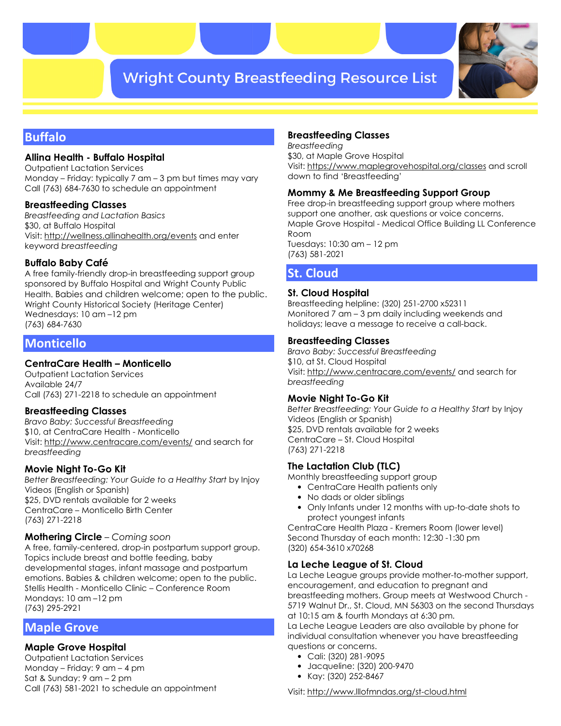# **Wright County Breastfeeding Resource List**



# **Buffalo**

# **Allina Health - Buffalo Hospital**

Outpatient Lactation Services Monday – Friday: typically 7 am – 3 pm but times may vary Call (763) 684-7630 to schedule an appointment

# **Breastfeeding Classes**

*Breastfeeding and Lactation Basics*  \$30, at Buffalo Hospital Visit: http://wellness.allinahealth.org/events and enter keyword *breastfeeding* 

# **Buffalo Baby Café**

A free family-friendly drop-in breastfeeding support group sponsored by Buffalo Hospital and Wright County Public Health. Babies and children welcome; open to the public. Wright County Historical Society (Heritage Center) Wednesdays: 10 am –12 pm (763) 684-7630

# **Monticello**

### **CentraCare Health – Monticello**

Outpatient Lactation Services Available 24/7 Call (763) 271-2218 to schedule an appointment

### **Breastfeeding Classes**

*Bravo Baby: Successful Breastfeeding*  \$10, at CentraCare Health - Monticello Visit: http://www.centracare.com/events/ and search for *breastfeeding* 

### **Movie Night To-Go Kit**

*Better Breastfeeding: Your Guide to a Healthy Start* by Injoy Videos (English or Spanish) \$25, DVD rentals available for 2 weeks CentraCare – Monticello Birth Center (763) 271-2218

### **Mothering Circle** – *Coming soon*

A free, family-centered, drop-in postpartum support group. Topics include breast and bottle feeding, baby developmental stages, infant massage and postpartum emotions. Babies & children welcome; open to the public. Stellis Health - Monticello Clinic – Conference Room Mondays: 10 am –12 pm (763) 295-2921

# **Maple Grove**

# **Maple Grove Hospital**

Outpatient Lactation Services Monday – Friday: 9 am – 4 pm Sat & Sunday: 9 am – 2 pm Call (763) 581-2021 to schedule an appointment

# **Breastfeeding Classes**

*Breastfeeding* \$30, at Maple Grove Hospital Visit: https://www.maplegrovehospital.org/classes and scroll down to find 'Breastfeeding'

# **Mommy & Me Breastfeeding Support Group**

Free drop-in breastfeeding support group where mothers support one another, ask questions or voice concerns. Maple Grove Hospital - Medical Office Building LL Conference Room Tuesdays: 10:30 am – 12 pm

(763) 581-2021

# **St. Cloud**

# **St. Cloud Hospital**

Breastfeeding helpline: (320) 251-2700 x52311 Monitored 7 am – 3 pm daily including weekends and holidays; leave a message to receive a call-back.

# **Breastfeeding Classes**

*Bravo Baby: Successful Breastfeeding*  \$10, at St. Cloud Hospital Visit: http://www.centracare.com/events/ and search for *breastfeeding* 

### **Movie Night To-Go Kit**

*Better Breastfeeding: Your Guide to a Healthy Start* by Injoy Videos (English or Spanish) \$25, DVD rentals available for 2 weeks CentraCare – St. Cloud Hospital (763) 271-2218

# **The Lactation Club (TLC)**

Monthly breastfeeding support group

- CentraCare Health patients only
- No dads or older siblings
- Only Infants under 12 months with up-to-date shots to protect youngest infants

CentraCare Health Plaza - Kremers Room (lower level) Second Thursday of each month: 12:30 -1:30 pm (320) 654-3610 x70268

# **La Leche League of St. Cloud**

La Leche League groups provide mother-to-mother support, encouragement, and education to pregnant and breastfeeding mothers. Group meets at Westwood Church - 5719 Walnut Dr., St. Cloud, MN 56303 on the second Thursdays at 10:15 am & fourth Mondays at 6:30 pm.

La Leche League Leaders are also available by phone for individual consultation whenever you have breastfeeding questions or concerns.

- Cali: (320) 281-9095
- Jacqueline: (320) 200-9470
- Kay: (320) 252-8467

Visit: http://www.lllofmndas.org/st-cloud.html